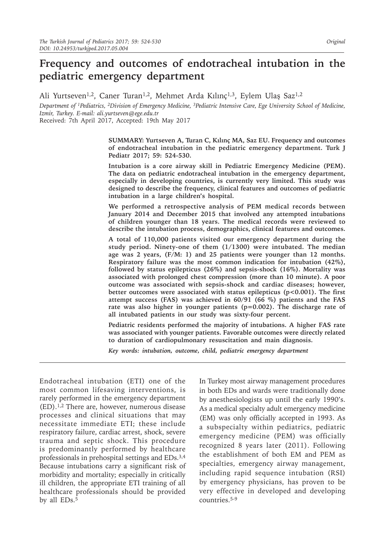# **Frequency and outcomes of endotracheal intubation in the pediatric emergency department**

Ali Yurtseven<sup>1,2</sup>, Caner Turan<sup>1,2</sup>, Mehmet Arda Kılınç<sup>1,3</sup>, Eylem Ulaş Saz<sup>1,2</sup>

*Department of 1Pediatrics, 2Division of Emergency Medicine, <sup>3</sup>Pediatric Intensive Care, Ege University School of Medicine, Izmir, Turkey. E-mail: ali.yurtseven@ege.edu.tr*

Received: 7th April 2017, Accepted: 19th May 2017

**SUMMARY: Yurtseven A, Turan C, Kılınç MA, Saz EU. Frequency and outcomes of endotracheal intubation in the pediatric emergency department. Turk J Pediatr 2017; 59: 524-530.**

**Intubation is a core airway skill in Pediatric Emergency Medicine (PEM). The data on pediatric endotracheal intubation in the emergency department, especially in developing countries, is currently very limited. This study was designed to describe the frequency, clinical features and outcomes of pediatric intubation in a large children's hospital.**

**We performed a retrospective analysis of PEM medical records between January 2014 and December 2015 that involved any attempted intubations of children younger than 18 years. The medical records were reviewed to describe the intubation process, demographics, clinical features and outcomes.** 

**A total of 110,000 patients visited our emergency department during the study period. Ninety-one of them (1/1300) were intubated. The median age was 2 years, (F/M: 1) and 25 patients were younger than 12 months. Respiratory failure was the most common indication for intubation (42%), followed by status epilepticus (26%) and sepsis-shock (16%). Mortality was associated with prolonged chest compression (more than 10 minute). A poor outcome was associated with sepsis-shock and cardiac diseases; however, better outcomes were associated with status epilepticus (p<0.001). The first attempt success (FAS) was achieved in 60/91 (66 %) patients and the FAS rate was also higher in younger patients (p=0.002). The discharge rate of all intubated patients in our study was sixty-four percent.**

**Pediatric residents performed the majority of intubations. A higher FAS rate was associated with younger patients. Favorable outcomes were directly related to duration of cardiopulmonary resuscitation and main diagnosis.**

*Key words: intubation, outcome, child, pediatric emergency department*

Endotracheal intubation (ETI) one of the most common lifesaving interventions, is rarely performed in the emergency department (ED).1,2 There are, however, numerous disease processes and clinical situations that may necessitate immediate ETI; these include respiratory failure, cardiac arrest, shock, severe trauma and septic shock. This procedure is predominantly performed by healthcare professionals in prehospital settings and EDs.3,4 Because intubations carry a significant risk of morbidity and mortality; especially in critically ill children, the appropriate ETI training of all healthcare professionals should be provided by all EDs.<sup>5</sup>

In Turkey most airway management procedures in both EDs and wards were traditionally done by anesthesiologists up until the early 1990's. As a medical specialty adult emergency medicine (EM) was only officially accepted in 1993. As a subspecialty within pediatrics, pediatric emergency medicine (PEM) was officially recognized 8 years later (2011). Following the establishment of both EM and PEM as specialties, emergency airway management, including rapid sequence intubation (RSI) by emergency physicians, has proven to be very effective in developed and developing countries.5-9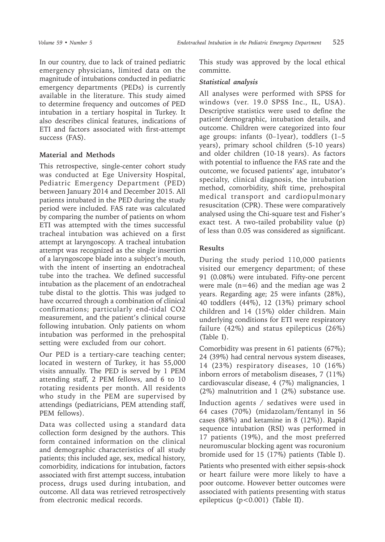In our country, due to lack of trained pediatric emergency physicians, limited data on the magnitude of intubations conducted in pediatric emergency departments (PEDs) is currently available in the literature. This study aimed to determine frequency and outcomes of PED intubation in a tertiary hospital in Turkey. It also describes clinical features, indications of ETI and factors associated with first-attempt success (FAS).

## **Material and Methods**

This retrospective, single-center cohort study was conducted at Ege University Hospital, Pediatric Emergency Department (PED) between January 2014 and December 2015. All patients intubated in the PED during the study period were included. FAS rate was calculated by comparing the number of patients on whom ETI was attempted with the times successful tracheal intubation was achieved on a first attempt at laryngoscopy. A tracheal intubation attempt was recognized as the single insertion of a laryngoscope blade into a subject's mouth, with the intent of inserting an endotracheal tube into the trachea. We defined successful intubation as the placement of an endotracheal tube distal to the glottis. This was judged to have occurred through a combination of clinical confirmations; particularly end-tidal CO2 measurement, and the patient's clinical course following intubation. Only patients on whom intubation was performed in the prehospital setting were excluded from our cohort.

Our PED is a tertiary-care teaching center; located in western of Turkey, it has 55,000 visits annually. The PED is served by 1 PEM attending staff, 2 PEM fellows, and 6 to 10 rotating residents per month. All residents who study in the PEM are supervised by attendings (pediatricians, PEM attending staff, PEM fellows).

Data was collected using a standard data collection form designed by the authors. This form contained information on the clinical and demographic characteristics of all study patients; this included age, sex, medical history, comorbidity, indications for intubation, factors associated with first attempt success, intubation process, drugs used during intubation, and outcome. All data was retrieved retrospectively from electronic medical records.

This study was approved by the local ethical committe.

## *Statistical analysis*

All analyses were performed with SPSS for windows (ver. 19.0 SPSS Inc., IL, USA). Descriptive statistics were used to define the patient'demographic, intubation details, and outcome. Children were categorized into four age groups: infants (0–1year), toddlers (1–5 years), primary school children (5-10 years) and older children (10-18 years). As factors with potential to influence the FAS rate and the outcome, we focused patients' age, intubator's specialty, clinical diagnosis, the intubation method, comorbidity, shift time, prehospital medical transport and cardiopulmonary resuscitation (CPR). These were comparatively analysed using the Chi-square test and Fisher's exact test. A two-tailed probability value (p) of less than 0.05 was considered as significant.

## **Results**

During the study period 110,000 patients visited our emergency department; of these 91 (0.08%) were intubated. Fifty-one percent were male  $(n=46)$  and the median age was 2 years. Regarding age; 25 were infants (28%), 40 toddlers (44%), 12 (13%) primary school children and 14 (15%) older children. Main underlying conditions for ETI were respiratory failure (42%) and status epilepticus (26%) (Table I).

Comorbidity was present in 61 patients (67%); 24 (39%) had central nervous system diseases, 14 (23%) respiratory diseases, 10 (16%) inborn errors of metabolism diseases, 7 (11%) cardiovascular disease, 4 (7%) malignancies, 1 (2%) malnutrition and 1 (2%) substance use.

Induction agents / sedatives were used in 64 cases (70%) (midazolam/fentanyl in 56 cases (88%) and ketamine in 8 (12%)). Rapid sequence intubation (RSI) was performed in 17 patients (19%), and the most preferred neuromuscular blocking agent was rocuronium bromide used for 15 (17%) patients (Table I).

Patients who presented with either sepsis-shock or heart failure were more likely to have a poor outcome. However better outcomes were associated with patients presenting with status epilepticus (p<0.001) (Table II).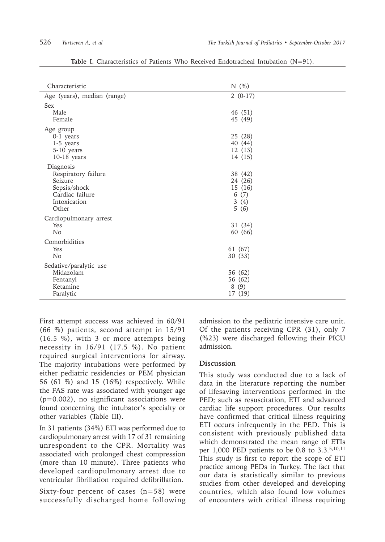| Characteristic                                                                                          | $N$ (%)                                              |
|---------------------------------------------------------------------------------------------------------|------------------------------------------------------|
| Age (years), median (range)                                                                             | $2(0-17)$                                            |
| <b>Sex</b><br>Male<br>Female                                                                            | 46 (51)<br>45 (49)                                   |
| Age group<br>0-1 years<br>1-5 years<br>5-10 years<br>$10-18$ years                                      | 25 (28)<br>40 (44)<br>12(13)<br>14 (15)              |
| Diagnosis<br>Respiratory failure<br>Seizure<br>Sepsis/shock<br>Cardiac failure<br>Intoxication<br>Other | 38 (42)<br>24 (26)<br>15(16)<br>6(7)<br>3(4)<br>5(6) |
| Cardiopulmonary arrest<br>Yes<br>N <sub>o</sub>                                                         | 31 (34)<br>60 (66)                                   |
| Comorbidities<br>Yes<br>N <sub>o</sub>                                                                  | 61 (67)<br>30(33)                                    |
| Sedative/paralytic use<br>Midazolam<br>Fentanyl<br>Ketamine<br>Paralytic                                | 56 (62)<br>56 (62)<br>8(9)<br>17 (19)                |

**Table I.** Characteristics of Patients Who Received Endotracheal Intubation (N=91).

First attempt success was achieved in 60/91 (66 %) patients, second attempt in 15/91 (16.5 %), with 3 or more attempts being necessity in 16/91 (17.5 %). No patient required surgical interventions for airway. The majority intubations were performed by either pediatric residencies or PEM physician 56 (61 %) and 15 (16%) respectively. While the FAS rate was associated with younger age (p=0.002), no significant associations were found concerning the intubator's specialty or other variables (Table III).

In 31 patients (34%) ETI was performed due to cardiopulmonary arrest with 17 of 31 remaining unrespondent to the CPR. Mortality was associated with prolonged chest compression (more than 10 minute). Three patients who developed cardiopulmonary arrest due to ventricular fibrillation required defibrillation.

Sixty-four percent of cases  $(n=58)$  were successfully discharged home following admission to the pediatric intensive care unit. Of the patients receiving CPR (31), only 7 (%23) were discharged following their PICU admission.

## **Discussion**

This study was conducted due to a lack of data in the literature reporting the number of lifesaving interventions performed in the PED; such as resuscitation, ETI and advanced cardiac life support procedures. Our results have confirmed that critical illness requiring ETI occurs infrequently in the PED. This is consistent with previously published data which demonstrated the mean range of ETIs per 1,000 PED patients to be 0.8 to 3.3.5,10,11 This study is first to report the scope of ETI practice among PEDs in Turkey. The fact that our data is statistically similar to previous studies from other developed and developing countries, which also found low volumes of encounters with critical illness requiring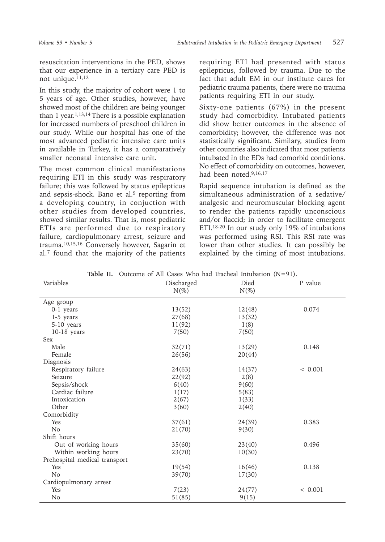resuscitation interventions in the PED, shows that our experience in a tertiary care PED is not unique. $11,12$ 

In this study, the majority of cohort were 1 to 5 years of age. Other studies, however, have showed most of the children are being younger than  $1$  year.<sup>1,13,14</sup> There is a possible explanation for increased numbers of preschool children in our study. While our hospital has one of the most advanced pediatric intensive care units in available in Turkey, it has a comparatively smaller neonatal intensive care unit.

The most common clinical manifestations requiring ETI in this study was respiratory failure; this was followed by status epilepticus and sepsis-shock. Bano et al.<sup>9</sup> reporting from a developing country, in conjuction with other studies from developed countries, showed similar results. That is, most pediatric ETIs are performed due to respiratory failure, cardiopulmonary arrest, seizure and trauma.10,15,16 Conversely however, Sagarin et al.7 found that the majority of the patients

requiring ETI had presented with status epilepticus, followed by trauma. Due to the fact that adult EM in our institute cares for pediatric trauma patients, there were no trauma patients requiring ETI in our study.

Sixty-one patients (67%) in the present study had comorbidity. Intubated patients did show better outcomes in the absence of comorbidity; however, the difference was not statistically significant. Similary, studies from other countries also indicated that most patients intubated in the EDs had comorbid conditions. No effect of comorbidity on outcomes, however, had been noted.9,16,17

Rapid sequence intubation is defined as the simultaneous administration of a sedative/ analgesic and neuromuscular blocking agent to render the patients rapidly unconscious and/or flaccid; in order to facilitate emergent ETI.18-20 In our study only 19% of intubations was performed using RSI. This RSI rate was lower than other studies. It can possibly be explained by the timing of most intubations.

| Variables                     | Discharged | Died    | P value |
|-------------------------------|------------|---------|---------|
|                               | $N(\%)$    | $N(\%)$ |         |
| Age group                     |            |         |         |
| 0-1 years                     | 13(52)     | 12(48)  | 0.074   |
| 1-5 years                     | 27(68)     | 13(32)  |         |
| 5-10 years                    | 11(92)     | 1(8)    |         |
| $10-18$ years                 | 7(50)      | 7(50)   |         |
| <b>Sex</b>                    |            |         |         |
| Male                          | 32(71)     | 13(29)  | 0.148   |
| Female                        | 26(56)     | 20(44)  |         |
| Diagnosis                     |            |         |         |
| Respiratory failure           | 24(63)     | 14(37)  | < 0.001 |
| Seizure                       | 22(92)     | 2(8)    |         |
| Sepsis/shock                  | 6(40)      | 9(60)   |         |
| Cardiac failure               | 1(17)      | 5(83)   |         |
| Intoxication                  | 2(67)      | 1(33)   |         |
| Other                         | 3(60)      | 2(40)   |         |
| Comorbidity                   |            |         |         |
| Yes                           | 37(61)     | 24(39)  | 0.383   |
| N <sub>o</sub>                | 21(70)     | 9(30)   |         |
| Shift hours                   |            |         |         |
| Out of working hours          | 35(60)     | 23(40)  | 0.496   |
| Within working hours          | 23(70)     | 10(30)  |         |
| Prehospital medical transport |            |         |         |
| Yes                           | 19(54)     | 16(46)  | 0.138   |
| N <sub>o</sub>                | 39(70)     | 17(30)  |         |
| Cardiopulmonary arrest        |            |         |         |
| Yes                           | 7(23)      | 24(77)  | < 0.001 |
| No                            | 51(85)     | 9(15)   |         |

**Table II.** Outcome of All Cases Who had Tracheal Intubation (N=91).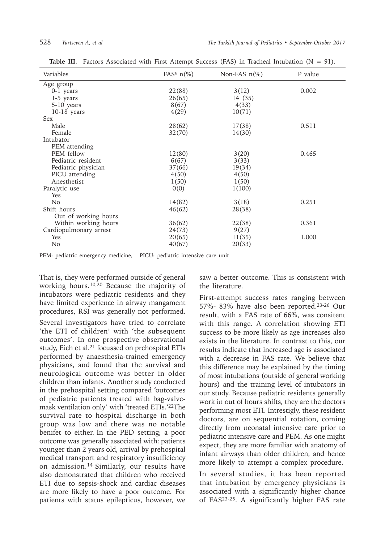| Variables              | FAS <sup>a</sup> $n$ <sup>(%)</sup> | Non-FAS $n(\%)$ | P value |
|------------------------|-------------------------------------|-----------------|---------|
| Age group              |                                     |                 |         |
| 0-1 years              | 22(88)                              | 3(12)           | 0.002   |
| 1-5 years              | 26(65)                              | 14 (35)         |         |
| $5-10$ years           | 8(67)                               | 4(33)           |         |
| $10-18$ years          | 4(29)                               | 10(71)          |         |
| <b>Sex</b>             |                                     |                 |         |
| Male                   | 28(62)                              | 17(38)          | 0.511   |
| Female                 | 32(70)                              | 14(30)          |         |
| Intubator              |                                     |                 |         |
| PEM attending          |                                     |                 |         |
| PEM fellow             | 12(80)                              | 3(20)           | 0.465   |
| Pediatric resident     | 6(67)                               | 3(33)           |         |
| Pediatric physician    | 37(66)                              | 19(34)          |         |
| PICU attending         | 4(50)                               | 4(50)           |         |
| Anesthetist            | 1(50)                               | 1(50)           |         |
| Paralytic use          | 0(0)                                | 1(100)          |         |
| Yes                    |                                     |                 |         |
| N <sub>o</sub>         | 14(82)                              | 3(18)           | 0.251   |
| Shift hours            | 46(62)                              | 28(38)          |         |
| Out of working hours   |                                     |                 |         |
| Within working hours   | 36(62)                              | 22(38)          | 0.361   |
| Cardiopulmonary arrest | 24(73)                              | 9(27)           |         |
| Yes                    | 20(65)                              | 11(35)          | 1.000   |
| N <sub>o</sub>         | 40(67)                              | 20(33)          |         |

**Table III.** Factors Associated with First Attempt Success (FAS) in Tracheal Intubation (N = 91).

PEM: pediatric emergency medicine, PICU: pediatric intensive care unit

That is, they were performed outside of general working hours.10,20 Because the majority of intubators were pediatric residents and they have limited experience in airway mangament procedures, RSI was generally not performed.

Several investigators have tried to correlate 'the ETI of children' with 'the subsequent outcomes'. In one prospective observational study, Eich et al.<sup>21</sup> focussed on prehospital ETIs performed by anaesthesia-trained emergency physicians, and found that the survival and neurological outcome was better in older children than infants. Another study conducted in the prehospital setting compared 'outcomes of pediatric patients treated with bag-valvemask ventilation only' with 'treated ETIs.'22The survival rate to hospital discharge in both group was low and there was no notable benifet to either. In the PED setting; a poor outcome was generally associated with: patients younger than 2 years old, arrival by prehospital medical transport and respiratory insufficiency on admission.14 Similarly, our results have also demonstrated that children who received ETI due to sepsis-shock and cardiac diseases are more likely to have a poor outcome. For patients with status epilepticus, however, we

saw a better outcome. This is consistent with the literature.

First-attempt success rates ranging between 57%- 83% have also been reported.23-26 Our result, with a FAS rate of 66%, was consitent with this range. A correlation showing ETI success to be more likely as age increases also exists in the literature. In contrast to this, our results indicate that increased age is associated with a decrease in FAS rate. We believe that this difference may be explained by the timing of most intubations (outside of general working hours) and the training level of intubators in our study. Because pediatric residents generally work in out of hours shifts, they are the doctors performing most ETI. Intrestigly, these resident doctors, are on sequential rotation, coming directly from neonatal intensive care prior to pediatric intensive care and PEM. As one might expect, they are more familiar with anatomy of infant airways than older children, and hence more likely to attempt a complex procedure.

In several studies, it has been reported that intubation by emergency physicians is associated with a significantly higher chance of FAS23-25. A significantly higher FAS rate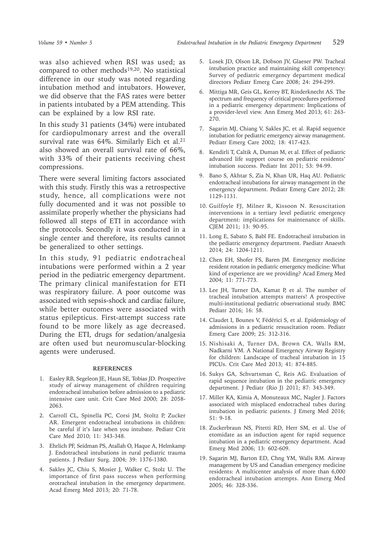was also achieved when RSI was used; as compared to other methods<sup>19,20</sup>. No statistical difference in our study was noted regarding intubation method and intubators. However, we did observe that the FAS rates were better in patients intubated by a PEM attending. This can be explained by a low RSI rate.

In this study 31 patients (34%) were intubated for cardiopulmonary arrest and the overall survival rate was 64%. Similarly Eich et al.<sup>21</sup> also showed an overall survival rate of 66%, with 33% of their patients receiving chest compressions.

There were several limiting factors associated with this study. Firstly this was a retrospective study, hence, all complications were not fully documented and it was not possible to assimilate properly whether the physicians had followed all steps of ETI in accordance with the protocols. Secondly it was conducted in a single center and therefore, its results cannot be generalized to other settings.

In this study, 91 pediatric endotracheal intubations were performed within a 2 year period in the pediatric emergency department. The primary clinical manifestation for ETI was respiratory failure. A poor outcome was associated with sepsis-shock and cardiac failure, while better outcomes were associated with status epilepticus. First-attempt success rate found to be more likely as age decreased. During the ETI, drugs for sedation/analgesia are often used but neuromuscular-blocking agents were underused.

### **REFERENCES**

- 1. Easley RB, Segeleon JE, Haun SE, Tobias JD. Prospective study of airway management of children requiring endotracheal intubation before admission to a pediatric intensive care unit. Crit Care Med 2000; 28: 2058- 2063.
- 2. Carroll CL, Spinella PC, Corsi JM, Stoltz P, Zucker AR. Emergent endotracheal intubations in children: be careful if it's late when you intubate. Pediatr Crit Care Med 2010; 11: 343-348.
- 3. Ehrlich PF, Seidman PS, Atallah O, Haque A, Helmkamp J. Endotracheal intubations in rural pediatric trauma patients. J Pediatr Surg. 2004; 39: 1376-1380.
- 4. Sakles JC, Chiu S, Mosier J, Walker C, Stolz U. The importance of first pass success when performing orotracheal intubation in the emergency department. Acad Emerg Med 2013; 20: 71-78.
- 5. Losek JD, Olson LR, Dobson JV, Glaeser PW. Tracheal intubation practice and maintaining skill competency: Survey of pediatric emergency department medical directors Pediatr Emerg Care 2008; 24: 294-299.
- 6. Mittiga MR, Geis GL, Kerrey BT, Rinderknecht AS. The spectrum and frequency of critical procedures performed in a pediatric emergency department: Implications of a provider-level view. Ann Emerg Med 2013; 61: 263- 270.
- 7. Sagarin MJ, Chiang V, Sakles JC, et al. Rapid sequence intubation for pediatric emergency airway management. Pediatr Emerg Care 2002; 18: 417-423.
- 8. Kendirli T, Caltik A, Duman M, et al. Effect of pediatric advanced life support course on pediatric residents' intubation success. Pediatr Int 2011; 53: 94-99.
- 9. Bano S, Akhtar S, Zia N, Khan UR, Haq AU. Pediatric endotracheal intubations for airway management in the emergency department. Pediatr Emerg Care 2012; 28: 1129-1131.
- 10. Guilfoyle FJ, Milner R, Kissoon N. Resuscitation interventions in a tertiary level pediatric emergency department: implications for maintenance of skills. CJEM 2011; 13: 90-95.
- 11. Long E, Sabato S, Babl FE. Endotracheal intubation in the pediatric emergency department. Paediatr Anaesth 2014; 24: 1204-1211.
- 12. Chen EH, Shofer FS, Baren JM. Emergency medicine resident rotation in pediatric emergency medicine: What kind of experience are we providing? Acad Emerg Med 2004; 11: 771-773.
- 13. Lee JH, Turner DA, Kamat P, et al. The number of tracheal intubation attempts matters! A prospective multi-institutional pediatric observational study. BMC Pediatr 2016; 16: 58.
- 14. Claudet I, Bounes V, Fédérici S, et al. Epidemiology of admissions in a pediatric resuscitation room. Pediatr Emerg Care 2009; 25: 312-316.
- 15. Nishisaki A, Turner DA, Brown CA, Walls RM, Nadkarni VM. A National Emergency Airway Registry for children: Landscape of tracheal intubation in 15 PICUs. Crit Care Med 2013; 41: 874-885.
- 16. Sukys GA, Schvartsman C, Reis AG. Evaluation of rapid sequence intubation in the pediatric emergency department. J Pediatr (Rio J) 2011; 87: 343-349.
- 17. Miller KA, Kimia A, Monuteaux MC, Nagler J. Factors associated with misplaced endotracheal tubes during intubation in pediatric patients. J Emerg Med 2016; 51: 9-18.
- 18. Zuckerbraun NS, Pitetti RD, Herr SM, et al. Use of etomidate as an induction agent for rapid sequence intubation in a pediatric emergency department. Acad Emerg Med 2006; 13: 602-609.
- 19. Sagarin MJ, Barton ED, Chng YM, Walls RM. Airway management by US and Canadian emergency medicine residents: A multicenter analysis of more than 6,000 endotracheal intubation attempts. Ann Emerg Med 2005; 46: 328-336.